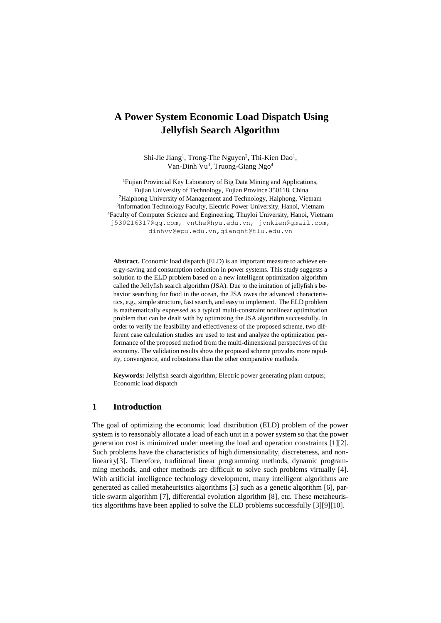# **A Power System Economic Load Dispatch Using Jellyfish Search Algorithm**

Shi-Jie Jiang<sup>1</sup>, Trong-The Nguyen<sup>2</sup>, Thi-Kien Dao<sup>1</sup>, Van-Dinh Vu<sup>3</sup>, Truong-Giang Ngo<sup>4</sup>

<sup>1</sup>Fujian Provincial Key Laboratory of Big Data Mining and Applications, Fujian University of Technology, Fujian Province 350118, China <sup>2</sup>Haiphong University of Management and Technology, Haiphong, Vietnam <sup>3</sup>Information Technology Faculty, Electric Power University, Hanoi, Vietnam <sup>4</sup>Faculty of Computer Science and Engineering, Thuyloi University, Hanoi, Vietnam [j530216317@qq.com,](mailto:j530216317@qq.com) [vnthe@hpu.edu.vn,](mailto:vnthe@hpu.edu.vn) [jvnkien@gmail.com,](mailto:jvnkien@gmail.com) dinhvv@epu.edu.vn,giangnt@tlu.edu.vn

**Abstract.** Economic load dispatch (ELD) is an important measure to achieve energy-saving and consumption reduction in power systems. This study suggests a solution to the ELD problem based on a new intelligent optimization algorithm called the Jellyfish search algorithm (JSA). Due to the imitation of jellyfish's behavior searching for food in the ocean, the JSA owes the advanced characteristics, e.g., simple structure, fast search, and easy to implement. The ELD problem is mathematically expressed as a typical multi-constraint nonlinear optimization problem that can be dealt with by optimizing the JSA algorithm successfully. In order to verify the feasibility and effectiveness of the proposed scheme, two different case calculation studies are used to test and analyze the optimization performance of the proposed method from the multi-dimensional perspectives of the economy. The validation results show the proposed scheme provides more rapidity, convergence, and robustness than the other comparative methods.

**Keywords:** Jellyfish search algorithm; Electric power generating plant outputs; Economic load dispatch

# **1 Introduction**

The goal of optimizing the economic load distribution (ELD) problem of the power system is to reasonably allocate a load of each unit in a power system so that the power generation cost is minimized under meeting the load and operation constraints [1][2]. Such problems have the characteristics of high dimensionality, discreteness, and nonlinearity[3]. Therefore, traditional linear programming methods, dynamic programming methods, and other methods are difficult to solve such problems virtually [4]. With artificial intelligence technology development, many intelligent algorithms are generated as called metaheuristics algorithms [5] such as a genetic algorithm [6], particle swarm algorithm [7], differential evolution algorithm [8], etc. These metaheuristics algorithms have been applied to solve the ELD problems successfully [3][9][10].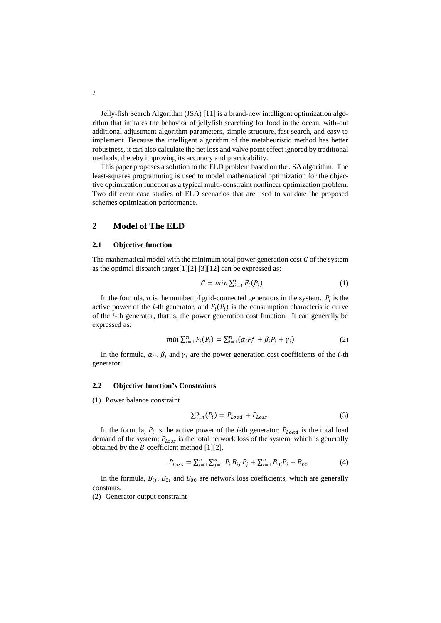Jelly-fish Search Algorithm (JSA) [11] is a brand-new intelligent optimization algorithm that imitates the behavior of jellyfish searching for food in the ocean, with-out additional adjustment algorithm parameters, simple structure, fast search, and easy to implement. Because the intelligent algorithm of the metaheuristic method has better robustness, it can also calculate the net loss and valve point effect ignored by traditional methods, thereby improving its accuracy and practicability.

This paper proposes a solution to the ELD problem based on the JSA algorithm. The least-squares programming is used to model mathematical optimization for the objective optimization function as a typical multi-constraint nonlinear optimization problem. Two different case studies of ELD scenarios that are used to validate the proposed schemes optimization performance.

# **2 Model of The ELD**

#### **2.1 Objective function**

The mathematical model with the minimum total power generation cost  $C$  of the system as the optimal dispatch target[1][2] [3][12] can be expressed as:

$$
C = \min \sum_{i=1}^{n} F_i(P_i) \tag{1}
$$

In the formula,  $n$  is the number of grid-connected generators in the system.  $P_i$  is the active power of the *i*-th generator, and  $F_i(P_i)$  is the consumption characteristic curve of the  $i$ -th generator, that is, the power generation cost function. It can generally be expressed as:

$$
min \sum_{i=1}^{n} F_i(P_i) = \sum_{i=1}^{n} (\alpha_i P_i^2 + \beta_i P_i + \gamma_i)
$$
 (2)

In the formula,  $\alpha_i$ ,  $\beta_i$  and  $\gamma_i$  are the power generation cost coefficients of the *i*-th generator.

#### **2.2 Objective function's Constraints**

(1) Power balance constraint

$$
\sum_{i=1}^{n} (P_i) = P_{Load} + P_{Loss}
$$
 (3)

In the formula,  $P_i$  is the active power of the *i*-th generator;  $P_{Load}$  is the total load demand of the system;  $P_{Loss}$  is the total network loss of the system, which is generally obtained by the  $B$  coefficient method [1][2].

$$
P_{Loss} = \sum_{i=1}^{n} \sum_{j=1}^{n} P_i B_{ij} P_j + \sum_{i=1}^{n} B_{0i} P_i + B_{00}
$$
(4)

In the formula,  $B_{ij}$ ,  $B_{0i}$  and  $B_{00}$  are network loss coefficients, which are generally constants.

(2) Generator output constraint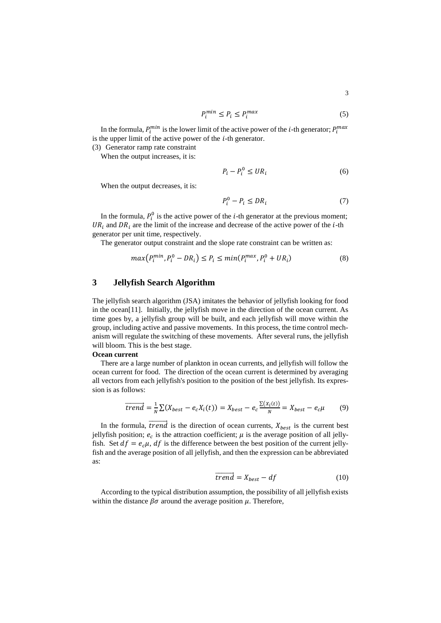$$
P_i^{min} \le P_i \le P_i^{max} \tag{5}
$$

In the formula,  $P_i^{min}$  is the lower limit of the active power of the *i*-th generator;  $P_i^{max}$ is the upper limit of the active power of the  $i$ -th generator.

(3) Generator ramp rate constraint

When the output increases, it is:

$$
P_i - P_i^0 \le U R_i \tag{6}
$$

When the output decreases, it is:

$$
P_i^0 - P_i \le D R_i \tag{7}
$$

In the formula,  $P_i^0$  is the active power of the *i*-th generator at the previous moment;  $UR_i$  and  $DR_i$  are the limit of the increase and decrease of the active power of the *i*-th generator per unit time, respectively.

The generator output constraint and the slope rate constraint can be written as:

$$
max(P_i^{min}, P_i^0 - DR_i) \le P_i \le min(P_i^{max}, P_i^0 + UR_i)
$$
\n(8)

### **3 Jellyfish Search Algorithm**

The jellyfish search algorithm (JSA) imitates the behavior of jellyfish looking for food in the ocean[11]. Initially, the jellyfish move in the direction of the ocean current. As time goes by, a jellyfish group will be built, and each jellyfish will move within the group, including active and passive movements. In this process, the time control mechanism will regulate the switching of these movements. After several runs, the jellyfish will bloom. This is the best stage.

#### **Ocean current**

There are a large number of plankton in ocean currents, and jellyfish will follow the ocean current for food. The direction of the ocean current is determined by averaging all vectors from each jellyfish's position to the position of the best jellyfish. Its expression is as follows:

$$
\overline{trend} = \frac{1}{N} \sum (X_{best} - e_c X_i(t)) = X_{best} - e_c \frac{\sum (X_i(t))}{N} = X_{best} - e_c \mu
$$
 (9)

In the formula,  $\overline{trend}$  is the direction of ocean currents,  $X_{best}$  is the current best jellyfish position;  $e_c$  is the attraction coefficient;  $\mu$  is the average position of all jellyfish. Set  $df = e_c \mu$ ,  $df$  is the difference between the best position of the current jellyfish and the average position of all jellyfish, and then the expression can be abbreviated as:

$$
\overrightarrow{trend} = X_{best} - df \tag{10}
$$

According to the typical distribution assumption, the possibility of all jellyfish exists within the distance  $\beta\sigma$  around the average position  $\mu$ . Therefore,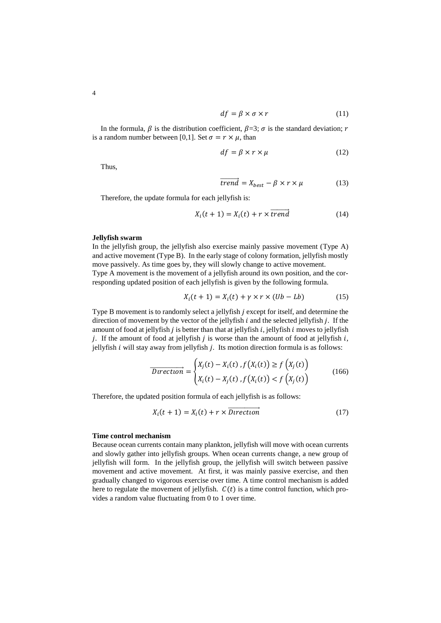$$
df = \beta \times \sigma \times r \tag{11}
$$

In the formula,  $\beta$  is the distribution coefficient,  $\beta = 3$ ;  $\sigma$  is the standard deviation; r is a random number between [0,1]. Set  $\sigma = r \times \mu$ , than

$$
df = \beta \times r \times \mu \tag{12}
$$

Thus,

$$
\overrightarrow{trend} = X_{best} - \beta \times r \times \mu \tag{13}
$$

Therefore, the update formula for each jellyfish is:

$$
X_i(t+1) = X_i(t) + r \times \overrightarrow{trend} \tag{14}
$$

#### **Jellyfish swarm**

In the jellyfish group, the jellyfish also exercise mainly passive movement (Type A) and active movement (Type B). In the early stage of colony formation, jellyfish mostly move passively. As time goes by, they will slowly change to active movement. Type A movement is the movement of a jellyfish around its own position, and the corresponding updated position of each jellyfish is given by the following formula.

$$
X_i(t+1) = X_i(t) + \gamma \times r \times (Ub - Lb)
$$
 (15)

Type B movement is to randomly select a jellyfish  $j$  except for itself, and determine the direction of movement by the vector of the jellyfish  $i$  and the selected jellyfish  $i$ . If the amount of food at jellyfish  $i$  is better than that at jellyfish  $i$ , jellyfish  $i$  moves to jellyfish *i*. If the amount of food at jellyfish *i* is worse than the amount of food at jellyfish *i*. jellyfish  $i$  will stay away from jellyfish  $j$ . Its motion direction formula is as follows:

$$
\overrightarrow{Direction} = \begin{cases} X_j(t) - X_i(t), f(X_i(t)) \ge f(X_j(t)) \\ X_i(t) - X_j(t), f(X_i(t)) < f(X_j(t)) \end{cases} \tag{166}
$$

Therefore, the updated position formula of each jellyfish is as follows:

$$
X_i(t+1) = X_i(t) + r \times \overrightarrow{Direction}
$$
 (17)

#### **Time control mechanism**

Because ocean currents contain many plankton, jellyfish will move with ocean currents and slowly gather into jellyfish groups. When ocean currents change, a new group of jellyfish will form. In the jellyfish group, the jellyfish will switch between passive movement and active movement. At first, it was mainly passive exercise, and then gradually changed to vigorous exercise over time. A time control mechanism is added here to regulate the movement of jellyfish.  $C(t)$  is a time control function, which provides a random value fluctuating from 0 to 1 over time.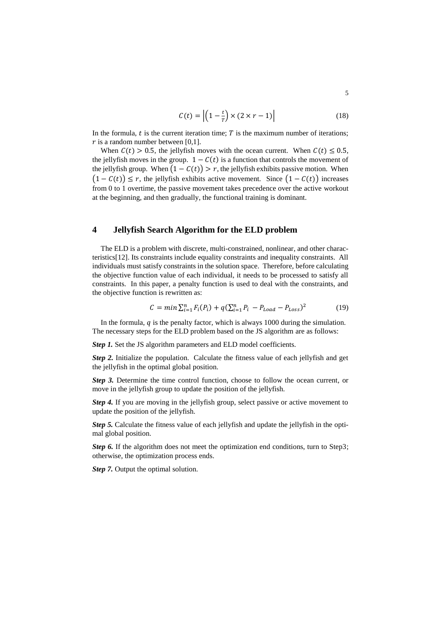$$
C(t) = \left| \left( 1 - \frac{t}{T} \right) \times \left( 2 \times r - 1 \right) \right| \tag{18}
$$

In the formula,  $t$  is the current iteration time;  $T$  is the maximum number of iterations;  $r$  is a random number between [0,1].

When  $C(t) > 0.5$ , the jellyfish moves with the ocean current. When  $C(t) \le 0.5$ , the jellyfish moves in the group.  $1 - C(t)$  is a function that controls the movement of the jellyfish group. When  $(1 - C(t)) > r$ , the jellyfish exhibits passive motion. When  $(1 - C(t)) \leq r$ , the jellyfish exhibits active movement. Since  $(1 - C(t))$  increases from 0 to 1 overtime, the passive movement takes precedence over the active workout at the beginning, and then gradually, the functional training is dominant.

# **4 Jellyfish Search Algorithm for the ELD problem**

The ELD is a problem with discrete, multi-constrained, nonlinear, and other characteristics[12]. Its constraints include equality constraints and inequality constraints. All individuals must satisfy constraints in the solution space. Therefore, before calculating the objective function value of each individual, it needs to be processed to satisfy all constraints. In this paper, a penalty function is used to deal with the constraints, and the objective function is rewritten as:

$$
C = \min \sum_{i=1}^{n} F_i(P_i) + q(\sum_{i=1}^{n} P_i - P_{Load} - P_{Loss})^2
$$
 (19)

In the formula,  $q$  is the penalty factor, which is always 1000 during the simulation. The necessary steps for the ELD problem based on the JS algorithm are as follows:

*Step 1.* Set the JS algorithm parameters and ELD model coefficients.

*Step 2.* Initialize the population. Calculate the fitness value of each jellyfish and get the jellyfish in the optimal global position.

*Step 3.* Determine the time control function, choose to follow the ocean current, or move in the jellyfish group to update the position of the jellyfish.

*Step 4.* If you are moving in the jellyfish group, select passive or active movement to update the position of the jellyfish.

*Step 5.* Calculate the fitness value of each jellyfish and update the jellyfish in the optimal global position.

*Step* 6. If the algorithm does not meet the optimization end conditions, turn to Step3; otherwise, the optimization process ends.

*Step 7.* Output the optimal solution.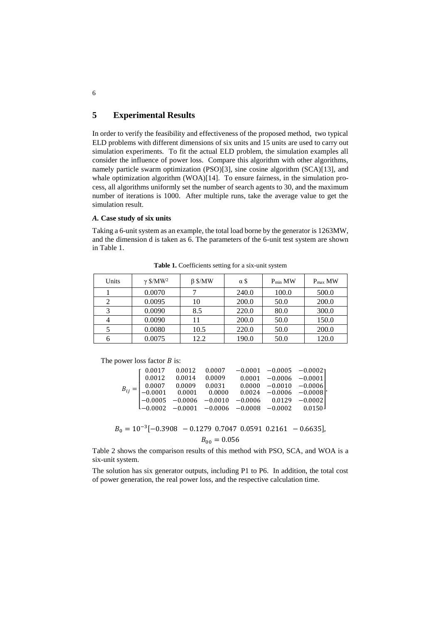# **5 Experimental Results**

In order to verify the feasibility and effectiveness of the proposed method, two typical ELD problems with different dimensions of six units and 15 units are used to carry out simulation experiments. To fit the actual ELD problem, the simulation examples all consider the influence of power loss. Compare this algorithm with other algorithms, namely particle swarm optimization (PSO)[3], sine cosine algorithm (SCA)[13], and whale optimization algorithm (WOA)[14]. To ensure fairness, in the simulation process, all algorithms uniformly set the number of search agents to 30, and the maximum number of iterations is 1000. After multiple runs, take the average value to get the simulation result.

#### *A.* **Case study of six units**

Taking a 6-unit system as an example, the total load borne by the generator is 1263MW, and the dimension d is taken as 6. The parameters of the 6-unit test system are shown in Table 1.

| Units | $\gamma$ \$/MW <sup>2</sup> | $\beta$ \$/MW | α\$   | $P_{min}$ MW | $P_{max}$ MW |
|-------|-----------------------------|---------------|-------|--------------|--------------|
|       | 0.0070                      |               | 240.0 | 100.0        | 500.0        |
|       | 0.0095                      | 10            | 200.0 | 50.0         | 200.0        |
|       | 0.0090                      | 8.5           | 220.0 | 80.0         | 300.0        |
| 4     | 0.0090                      | 11            | 200.0 | 50.0         | 150.0        |
|       | 0.0080                      | 10.5          | 220.0 | 50.0         | 200.0        |
| 6     | 0.0075                      | 12.2          | 190.0 | 50.0         | 120.0        |

**Table 1.** Coefficients setting for a six-unit system

The power loss factor  $B$  is:

| $B_{ij} = \begin{bmatrix} 0.0017 & 0.0012 & 0.0007 & -0.0001 & -0.0005 & -0.0002\\ 0.0012 & 0.0014 & 0.0009 & 0.0001 & -0.0006 & -0.0001\\ 0.0007 & 0.0009 & 0.0031 & 0.0000 & -0.0010 & -0.0006\\ -0.0001 & 0.0001 & 0.0000 & 0.0024 & -0.0006 & -0.0008\\ -0.0005 & -0.0006 & -$ |  |  |                          |
|------------------------------------------------------------------------------------------------------------------------------------------------------------------------------------------------------------------------------------------------------------------------------------|--|--|--------------------------|
|                                                                                                                                                                                                                                                                                    |  |  | $0.0001 -0.0006 -0.0001$ |
|                                                                                                                                                                                                                                                                                    |  |  |                          |
|                                                                                                                                                                                                                                                                                    |  |  |                          |
|                                                                                                                                                                                                                                                                                    |  |  |                          |
|                                                                                                                                                                                                                                                                                    |  |  |                          |
|                                                                                                                                                                                                                                                                                    |  |  |                          |

 $B_0 = 10^{-3}[-0.3908 - 0.1279 \text{ } 0.7047 \text{ } 0.0591 \text{ } 0.2161 - 0.6635],$  $B_{00} = 0.056$ 

Table 2 shows the comparison results of this method with PSO, SCA, and WOA is a six-unit system.

The solution has six generator outputs, including P1 to P6. In addition, the total cost of power generation, the real power loss, and the respective calculation time.

6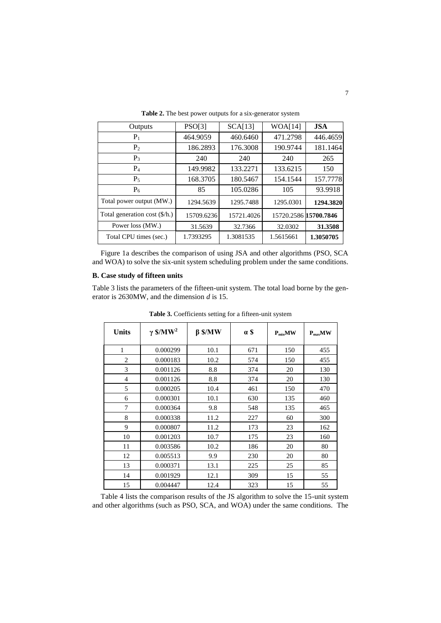| Outputs                       | PSO[3]     | SCA[13]    | WOA[14]               | <b>JSA</b> |
|-------------------------------|------------|------------|-----------------------|------------|
| $P_1$                         | 464.9059   | 460.6460   | 471.2798              | 446.4659   |
| P <sub>2</sub>                | 186.2893   | 176.3008   | 190.9744              | 181.1464   |
| $P_3$                         | 240        | 240        | 240                   | 265        |
| $P_4$                         | 149.9982   | 133.2271   | 133.6215              | 150        |
| $P_5$                         | 168.3705   | 180.5467   | 154.1544              | 157.7778   |
| $P_6$                         | 85         | 105.0286   | 105                   | 93.9918    |
| Total power output (MW.)      | 1294.5639  | 1295.7488  | 1295.0301             | 1294.3820  |
| Total generation cost (\$/h.) | 15709.6236 | 15721.4026 | 15720.2586 15700.7846 |            |
| Power loss (MW.)              | 31.5639    | 32.7366    | 32.0302               | 31.3508    |
| Total CPU times (sec.)        | 1.7393295  | 1.3081535  | 1.5615661             | 1.3050705  |

**Table 2.** The best power outputs for a six-generator system

Figure 1a describes the comparison of using JSA and other algorithms (PSO, SCA and WOA) to solve the six-unit system scheduling problem under the same conditions.

### **B. Case study of fifteen units**

Table 3 lists the parameters of the fifteen-unit system. The total load borne by the generator is 2630MW, and the dimension *d* is 15.

| <b>Units</b>   | $\gamma$ \$/MW <sup>2</sup> | $\beta$ \$/MW | a \$ | $P_{min}$ MW | $P_{max}$ MW |
|----------------|-----------------------------|---------------|------|--------------|--------------|
| 1              | 0.000299                    | 10.1          | 671  | 150          | 455          |
| $\overline{c}$ | 0.000183                    | 10.2          | 574  | 150          | 455          |
| 3              | 0.001126                    | 8.8           | 374  | 20           | 130          |
| 4              | 0.001126                    | 8.8           | 374  | 20           | 130          |
| 5              | 0.000205                    | 10.4          | 461  | 150          | 470          |
| 6              | 0.000301                    | 10.1          | 630  | 135          | 460          |
| 7              | 0.000364                    | 9.8           | 548  | 135          | 465          |
| 8              | 0.000338                    | 11.2          | 227  | 60           | 300          |
| 9              | 0.000807                    | 11.2          | 173  | 23           | 162          |
| 10             | 0.001203                    | 10.7          | 175  | 23           | 160          |
| 11             | 0.003586                    | 10.2          | 186  | 20           | 80           |
| 12             | 0.005513                    | 9.9           | 230  | 20           | 80           |
| 13             | 0.000371                    | 13.1          | 225  | 25           | 85           |
| 14             | 0.001929                    | 12.1          | 309  | 15           | 55           |
| 15             | 0.004447                    | 12.4          | 323  | 15           | 55           |

**Table 3.** Coefficients setting for a fifteen-unit system

Table 4 lists the comparison results of the JS algorithm to solve the 15-unit system and other algorithms (such as PSO, SCA, and WOA) under the same conditions. The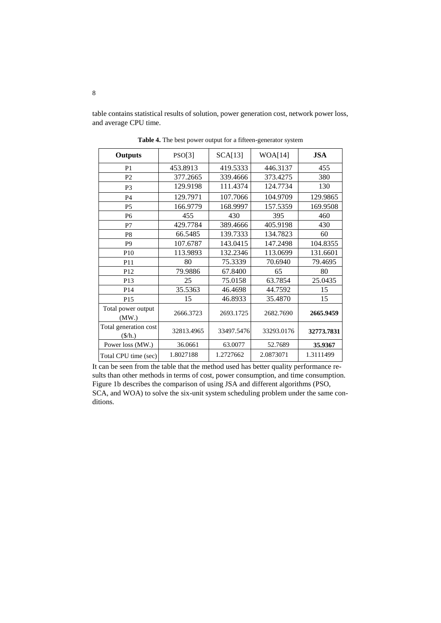table contains statistical results of solution, power generation cost, network power loss, and average CPU time.

| <b>Outputs</b>                           | PSO[3]     | SCA[13]    | WOA[14]    | <b>JSA</b> |
|------------------------------------------|------------|------------|------------|------------|
| P <sub>1</sub>                           | 453.8913   | 419.5333   | 446.3137   | 455        |
| P <sub>2</sub>                           | 377.2665   | 339.4666   | 373.4275   | 380        |
| P <sub>3</sub>                           | 129.9198   | 111.4374   | 124.7734   | 130        |
| P <sub>4</sub>                           | 129.7971   | 107.7066   | 104.9709   | 129.9865   |
| <b>P5</b>                                | 166.9779   | 168.9997   | 157.5359   | 169.9508   |
| P <sub>6</sub>                           | 455        | 430        | 395        | 460        |
| P7                                       | 429.7784   | 389.4666   | 405.9198   | 430        |
| P <sub>8</sub>                           | 66.5485    | 139.7333   | 134.7823   | 60         |
| P <sub>9</sub>                           | 107.6787   | 143.0415   | 147.2498   | 104.8355   |
| P <sub>10</sub>                          | 113.9893   | 132.2346   | 113.0699   | 131.6601   |
| P11                                      | 80         | 75.3339    | 70.6940    | 79.4695    |
| P <sub>12</sub>                          | 79.9886    | 67.8400    | 65         | 80         |
| P <sub>13</sub>                          | 25         | 75.0158    | 63.7854    | 25.0435    |
| P <sub>14</sub>                          | 35.5363    | 46.4698    | 44.7592    | 15         |
| P <sub>15</sub>                          | 15         | 46.8933    | 35.4870    | 15         |
| Total power output<br>(MW)               | 2666.3723  | 2693.1725  | 2682.7690  | 2665.9459  |
| Total generation cost<br>$(\frac{f}{h})$ | 32813.4965 | 33497.5476 | 33293.0176 | 32773.7831 |
| Power loss (MW.)                         | 36.0661    | 63.0077    | 52.7689    | 35.9367    |
| Total CPU time (sec)                     | 1.8027188  | 1.2727662  | 2.0873071  | 1.3111499  |

**Table 4.** The best power output for a fifteen-generator system

It can be seen from the table that the method used has better quality performance results than other methods in terms of cost, power consumption, and time consumption. Figure 1b describes the comparison of using JSA and different algorithms (PSO, SCA, and WOA) to solve the six-unit system scheduling problem under the same conditions.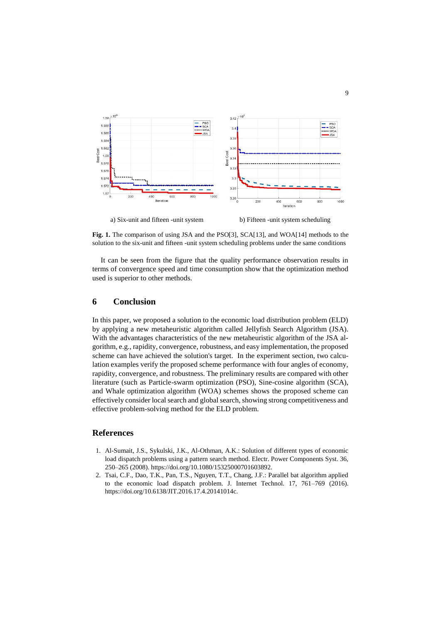

**Fig. 1.** The comparison of using JSA and the PSO[3], SCA[13], and WOA[14] methods to the solution to the six-unit and fifteen -unit system scheduling problems under the same conditions

It can be seen from the figure that the quality performance observation results in terms of convergence speed and time consumption show that the optimization method used is superior to other methods.

### **6 Conclusion**

In this paper, we proposed a solution to the economic load distribution problem (ELD) by applying a new metaheuristic algorithm called Jellyfish Search Algorithm (JSA). With the advantages characteristics of the new metaheuristic algorithm of the JSA algorithm, e.g., rapidity, convergence, robustness, and easy implementation, the proposed scheme can have achieved the solution's target. In the experiment section, two calculation examples verify the proposed scheme performance with four angles of economy, rapidity, convergence, and robustness. The preliminary results are compared with other literature (such as Particle-swarm optimization (PSO), Sine-cosine algorithm (SCA), and Whale optimization algorithm (WOA) schemes shows the proposed scheme can effectively consider local search and global search, showing strong competitiveness and effective problem-solving method for the ELD problem.

# **References**

- 1. Al-Sumait, J.S., Sykulski, J.K., Al-Othman, A.K.: Solution of different types of economic load dispatch problems using a pattern search method. Electr. Power Components Syst. 36, 250–265 (2008). https://doi.org/10.1080/15325000701603892.
- 2. Tsai, C.F., Dao, T.K., Pan, T.S., Nguyen, T.T., Chang, J.F.: Parallel bat algorithm applied to the economic load dispatch problem. J. Internet Technol. 17, 761–769 (2016). https://doi.org/10.6138/JIT.2016.17.4.20141014c.